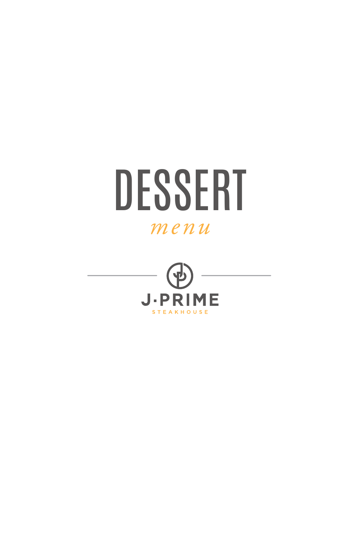

# ME J·PR

**STEAKHOUSE**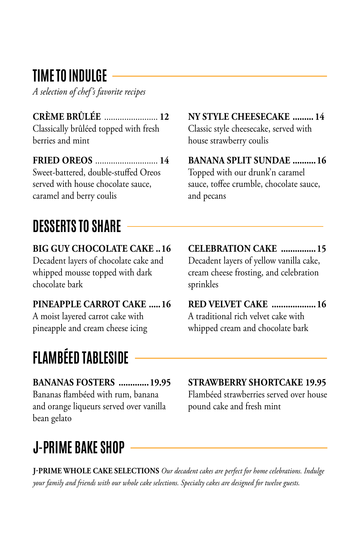### **TIME TO INDULGE**

*A selection of chef's favorite recipes*

**CRÈME BRÛLÉE** ........................ **12**

Classically brûléed topped with fresh berries and mint

**FRIED OREOS** ............................ **14** Sweet-battered, double-stuffed Oreos served with house chocolate sauce, caramel and berry coulis

# **DESSERTS TO SHARE**

**BIG GUY CHOCOLATE CAKE ..16** Decadent layers of chocolate cake and whipped mousse topped with dark chocolate bark

**PINEAPPLE CARROT CAKE .....16** A moist layered carrot cake with pineapple and cream cheese icing

# **FLAMBÉED TABLESIDE**

**BANANAS FOSTERS .............19.95** Bananas flambéed with rum, banana and orange liqueurs served over vanilla bean gelato

# **J-PRIME BAKE SHOP**

**NY STYLE CHEESECAKE ......... 14**

Classic style cheesecake, served with house strawberry coulis

**BANANA SPLIT SUNDAE ..........16** Topped with our drunk'n caramel sauce, toffee crumble, chocolate sauce, and pecans

**CELEBRATION CAKE ...............15** Decadent layers of yellow vanilla cake, cream cheese frosting, and celebration sprinkles

**RED VELVET CAKE ...................16** A traditional rich velvet cake with whipped cream and chocolate bark

**STRAWBERRY SHORTCAKE 19.95** Flambéed strawberries served over house pound cake and fresh mint

**J-PRIME WHOLE CAKE SELECTIONS** *Our decadent cakes are perfect for home celebrations. Indulge your family and friends with our whole cake selections. Specialty cakes are designed for twelve guests.*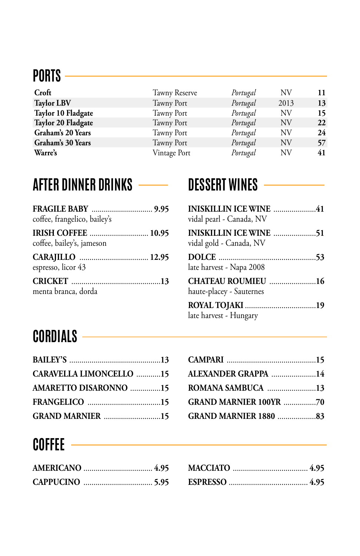## **PORTS**

| Croft              | Tawny Reserve     | Portugal | NV   | 11 |
|--------------------|-------------------|----------|------|----|
| <b>Taylor LBV</b>  | <b>Tawny Port</b> | Portugal | 2013 | 13 |
| Taylor 10 Fladgate | Tawny Port        | Portugal | NV   | 15 |
| Taylor 20 Fladgate | Tawny Port        | Portugal | NV   | 22 |
| Graham's 20 Years  | Tawny Port        | Portugal | NV   | 24 |
| Graham's 30 Years  | Tawny Port        | Portugal | NV   | 57 |
| Warre's            | Vintage Port      | Portugal | NV   | 41 |
|                    |                   |          |      |    |

### **AFTER DINNER DRINKS****DESSERT WINES**

| coffee, frangelico, bailey's |  |
|------------------------------|--|
| coffee, bailey's, jameson    |  |
| espresso, licor 43           |  |
| menta branca, dorda          |  |

| vidal pearl - Canada, NV                       |
|------------------------------------------------|
| vidal gold - Canada, NV                        |
| late harvest - Napa 2008                       |
| CHATEAU ROUMIEU 16<br>haute-placey - Sauternes |
| late harvest - Hungary                         |

# **CORDIALS**

| <b>CARAVELLA LIMONCELLO 15</b> |  |
|--------------------------------|--|
| AMARETTO DISARONNO 15          |  |
|                                |  |
| <b>GRAND MARNIER 15</b>        |  |

| ALEXANDER GRAPPA 14           |  |
|-------------------------------|--|
| ROMANA SAMBUCA 13             |  |
| <b>GRAND MARNIER 100YR 70</b> |  |
| <b>GRAND MARNIER 1880 83</b>  |  |

# **COFFEE**